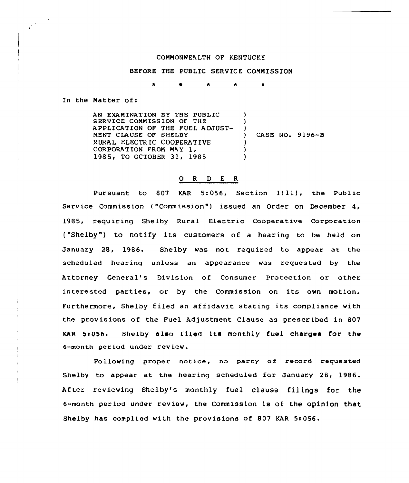## COMMONWEALTH OF KENTUCKY

## BEFORE THE PUBLIC SERVICE COMMISSION

 $\bullet$ 

In the Matter of:

 $\frac{1}{\sqrt{2}}\sum_{i=1}^{N} \frac{1}{i} \sum_{j=1}^{N} \frac{1}{j} \sum_{j=1}^{N} \frac{1}{j} \sum_{j=1}^{N} \frac{1}{j} \sum_{j=1}^{N} \frac{1}{j} \sum_{j=1}^{N} \frac{1}{j} \sum_{j=1}^{N} \frac{1}{j} \sum_{j=1}^{N} \frac{1}{j} \sum_{j=1}^{N} \frac{1}{j} \sum_{j=1}^{N} \frac{1}{j} \sum_{j=1}^{N} \frac{1}{j} \sum_{j=1}^{N} \frac{1}{j} \sum_{j=1$ 

AN EXAMINATION BY THE PUBLIC SERVICE COMMISSION OF THE APPLICATION OF THE FUEL ADJUST-MENT CLAUSE OF SHELBY RURAL ELECTRIC COOPERATIVE CORPORATION FROM MAY 1, 1985, TO OCTOBER 31, 1985 ) )  $\left\{ \begin{array}{c} 1 \\ 2 \end{array} \right\}$ ) CASE NO. 9196-B ) ) )

## 0 <sup>R</sup> <sup>D</sup> E <sup>R</sup>

Pursuant to <sup>807</sup> KAR 5:056, Section 1{ll), the Public Service Commission ("Commission") issued an Order on December  $4,$ 1985, requiring Shelby Rural Electric Cooperative Corporation ("Shelby") to notify its customers of a hearing to be held on January 28, 1986. Shelby was not required to appear at the scheduled hearing unless an appearance was requested by the Attorney General's Division of Consumer Protection or other interested parties, or by the Commission on its own motion. Furthermore, Shelby filed an affidavit stating its compliance with the provisions of the Fuel Adjustment Clause as prescribed in 807 KAR 5:056. Shelby also filed its monthly fuel charges for the 6-month period under review.

Following proper notice, no party of record requested Shelby to appear at the hearing scheduled for January 28, 1986. After reviewing Shelby's monthly fuel clause filings for the 6-month period under review, the commission is of the opinion that Shelby has complied with the provisions of 807 KAR 5:056.